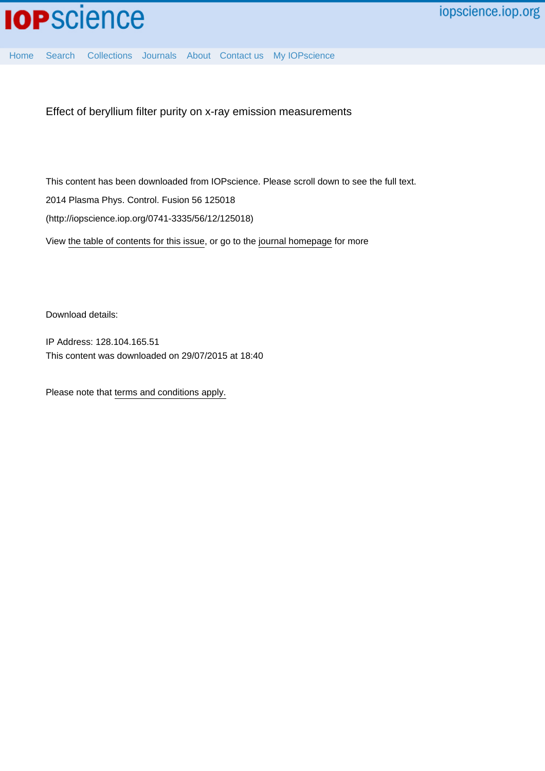[Home](http://iopscience.iop.org/) [Search](http://iopscience.iop.org/search) [Collections](http://iopscience.iop.org/collections) [Journals](http://iopscience.iop.org/journals) [About](http://iopscience.iop.org/page/aboutioppublishing) [Contact us](http://iopscience.iop.org/contact) [My IOPscience](http://iopscience.iop.org/myiopscience)

Effect of beryllium filter purity on x-ray emission measurements

This content has been downloaded from IOPscience. Please scroll down to see the full text. 2014 Plasma Phys. Control. Fusion 56 125018 (http://iopscience.iop.org/0741-3335/56/12/125018)

View [the table of contents for this issue](http://iopscience.iop.org/0741-3335/56/12), or go to the [journal homepage](http://iopscience.iop.org/0741-3335) for more

Download details:

IP Address: 128.104.165.51 This content was downloaded on 29/07/2015 at 18:40

Please note that [terms and conditions apply.](iopscience.iop.org/page/terms)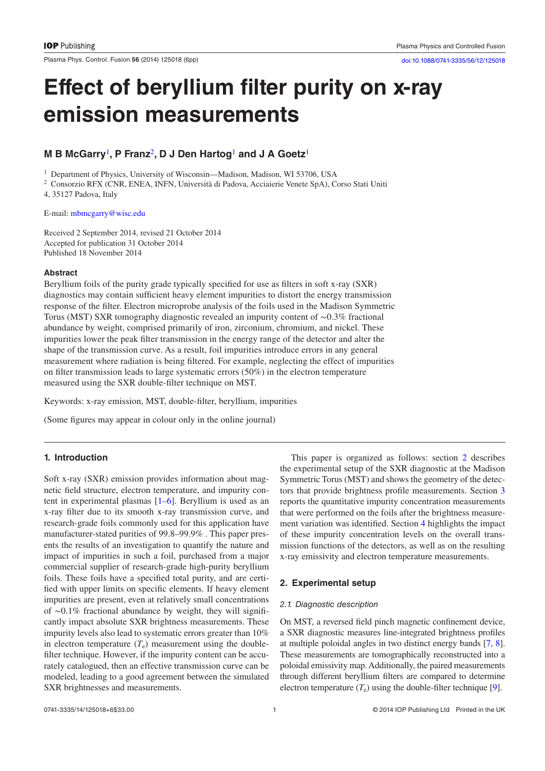Plasma Phys. Control. Fusion 56 (2014) 125018 (6pp) [doi:10.1088/0741-3335/56/12/125018](http://dx.doi.org/10.1088/0741-3335/56/12/125018)

# **Effect of beryllium filter purity on x-ray emission measurements**

## **M B McGarry**[1](#page-1-1)**, P Franz**[2](#page-1-2)**, D J Den Hartog**[1](#page-1-1) **and J A Goetz**[1](#page-1-1)

<span id="page-1-1"></span><sup>1</sup> Department of Physics, University of Wisconsin-Madison, Madison, WI 53706, USA

<span id="page-1-2"></span><sup>2</sup> Consorzio RFX (CNR, ENEA, INFN, Università di Padova, Acciaierie Venete SpA), Corso Stati Uniti

4, 35127 Padova, Italy

E-mail: mbmcgarry@wisc.edu

Received 2 September 2014, revised 21 October 2014 Accepted for publication 31 October 2014 Published 18 November 2014

## **Abstract**

Beryllium foils of the purity grade typically specified for use as filters in soft x-ray (SXR) diagnostics may contain sufficient heavy element impurities to distort the energy transmission response of the filter. Electron microprobe analysis of the foils used in the Madison Symmetric Torus (MST) SXR tomography diagnostic revealed an impurity content of ∼0.3% fractional abundance by weight, comprised primarily of iron, zirconium, chromium, and nickel. These impurities lower the peak filter transmission in the energy range of the detector and alter the shape of the transmission curve. As a result, foil impurities introduce errors in any general measurement where radiation is being filtered. For example, neglecting the effect of impurities on filter transmission leads to large systematic errors (50%) in the electron temperature measured using the SXR double-filter technique on MST.

Keywords: x-ray emission, MST, double-filter, beryllium, impurities

(Some figures may appear in colour only in the online journal)

## **1. Introduction**

Soft x-ray (SXR) emission provides information about magnetic field structure, electron temperature, and impurity content in experimental plasmas [\[1](#page-5-0)[–6](#page-6-0)]. Beryllium is used as an x-ray filter due to its smooth x-ray transmission curve, and research-grade foils commonly used for this application have manufacturer-stated purities of 99.8–99.9% . This paper presents the results of an investigation to quantify the nature and impact of impurities in such a foil, purchased from a major commercial supplier of research-grade high-purity beryllium foils. These foils have a specified total purity, and are certified with upper limits on specific elements. If heavy element impurities are present, even at relatively small concentrations of ∼0.1% fractional abundance by weight, they will significantly impact absolute SXR brightness measurements. These impurity levels also lead to systematic errors greater than 10% in electron temperature  $(T_e)$  measurement using the doublefilter technique. However, if the impurity content can be accurately catalogued, then an effective transmission curve can be modeled, leading to a good agreement between the simulated SXR brightnesses and measurements.

This paper is organized as follows: section [2](#page-1-0) describes the experimental setup of the SXR diagnostic at the Madison Symmetric Torus (MST) and shows the geometry of the detectors that provide brightness profile measurements. Section [3](#page-3-0) reports the quantitative impurity concentration measurements that were performed on the foils after the brightness measurement variation was identified. Section [4](#page-4-0) highlights the impact of these impurity concentration levels on the overall transmission functions of the detectors, as well as on the resulting x-ray emissivity and electron temperature measurements.

## <span id="page-1-0"></span>**2. Experimental setup**

## *2.1. Diagnostic description*

On MST, a reversed field pinch magnetic confinement device, a SXR diagnostic measures line-integrated brightness profiles at multiple poloidal angles in two distinct energy bands [\[7](#page-6-1), [8](#page-6-2)]. These measurements are tomographically reconstructed into a poloidal emissivity map. Additionally, the paired measurements through different beryllium filters are compared to determine electron temperature  $(T_e)$  using the double-filter technique [\[9](#page-6-3)].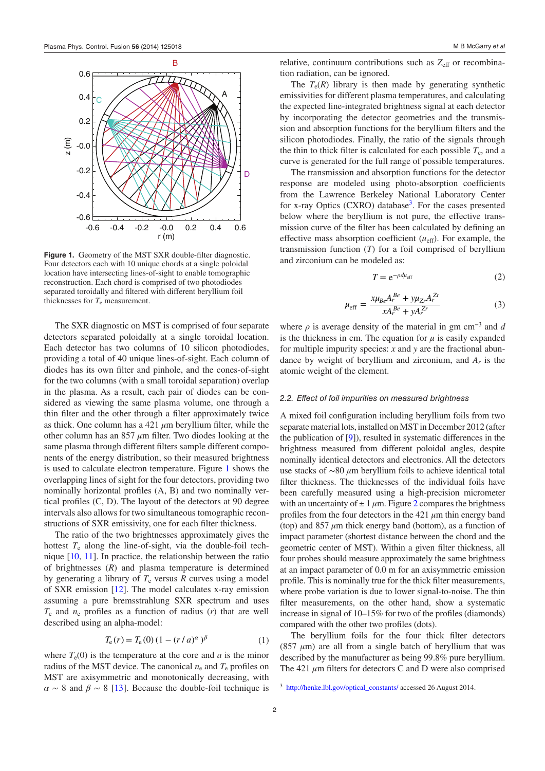<span id="page-2-0"></span>

Figure 1. Geometry of the MST SXR double-filter diagnostic. Four detectors each with 10 unique chords at a single poloidal location have intersecting lines-of-sight to enable tomographic reconstruction. Each chord is comprised of two photodiodes separated toroidally and filtered with different beryllium foil thicknesses for  $T_e$  measurement.

The SXR diagnostic on MST is comprised of four separate detectors separated poloidally at a single toroidal location. Each detector has two columns of 10 silicon photodiodes, providing a total of 40 unique lines-of-sight. Each column of diodes has its own filter and pinhole, and the cones-of-sight for the two columns (with a small toroidal separation) overlap in the plasma. As a result, each pair of diodes can be considered as viewing the same plasma volume, one through a thin filter and the other through a filter approximately twice as thick. One column has a 421 *µ*m beryllium filter, while the other column has an 857 *µ*m filter. Two diodes looking at the same plasma through different filters sample different components of the energy distribution, so their measured brightness is used to calculate electron temperature. Figure [1](#page-2-0) shows the overlapping lines of sight for the four detectors, providing two nominally horizontal profiles (A, B) and two nominally vertical profiles (C, D). The layout of the detectors at 90 degree intervals also allows for two simultaneous tomographic reconstructions of SXR emissivity, one for each filter thickness.

The ratio of the two brightnesses approximately gives the hottest *T*e along the line-of-sight, via the double-foil technique [\[10](#page-6-4), [11\]](#page-6-5). In practice, the relationship between the ratio of brightnesses (*R*) and plasma temperature is determined by generating a library of  $T_e$  versus  $R$  curves using a model of SXR emission [[12\]](#page-6-6). The model calculates x-ray emission assuming a pure bremsstrahlung SXR spectrum and uses  $T_e$  and  $n_e$  profiles as a function of radius  $(r)$  that are well described using an alpha-model:

$$
T_e(r) = T_e(0) (1 - (r/a)^{\alpha})^{\beta}
$$
 (1)

where  $T_e(0)$  is the temperature at the core and *a* is the minor radius of the MST device. The canonical  $n_e$  and  $T_e$  profiles on MST are axisymmetric and monotonically decreasing, with  $\alpha \sim 8$  and  $\beta \sim 8$  [[13\]](#page-6-7). Because the double-foil technique is relative, continuum contributions such as  $Z_{\text{eff}}$  or recombination radiation, can be ignored.

The  $T_e(R)$  library is then made by generating synthetic emissivities for different plasma temperatures, and calculating the expected line-integrated brightness signal at each detector by incorporating the detector geometries and the transmission and absorption functions for the beryllium filters and the silicon photodiodes. Finally, the ratio of the signals through the thin to thick filter is calculated for each possible  $T_e$ , and a curve is generated for the full range of possible temperatures.

The transmission and absorption functions for the detector response are modeled using photo-absorption coefficients from the Lawrence Berkeley National Laboratory Center for x-ray Optics (CXRO) database<sup>[3](#page-2-1)</sup>. For the cases presented below where the beryllium is not pure, the effective transmission curve of the filter has been calculated by defining an effective mass absorption coefficient  $(\mu_{\text{eff}})$ . For example, the transmission function (*T*) for a foil comprised of beryllium and zirconium can be modeled as:

$$
T = e^{-\rho d\mu_{\rm eff}} \tag{2}
$$

$$
\mu_{\rm eff} = \frac{x\mu_{Be}A_r^{Be} + y\mu_{Zr}A_r^{Zr}}{xA_r^{Be} + yA_r^{Zr}}
$$
(3)

where  $\rho$  is average density of the material in gm cm<sup>-3</sup> and *d* is the thickness in cm. The equation for  $\mu$  is easily expanded for multiple impurity species: *x* and *y* are the fractional abundance by weight of beryllium and zirconium, and *Ar* is the atomic weight of the element.

#### <span id="page-2-2"></span>*2.2. Effect of foil impurities on measured brightness*

A mixed foil configuration including beryllium foils from two separate material lots, installed on MST in December 2012 (after the publication of [[9\]](#page-6-3)), resulted in systematic differences in the brightness measured from different poloidal angles, despite nominally identical detectors and electronics. All the detectors use stacks of ∼80 *µ*m beryllium foils to achieve identical total filter thickness. The thicknesses of the individual foils have been carefully measured using a high-precision micrometer with an uncertainty of  $\pm 1 \mu$ m. Figure [2](#page-3-1) compares the brightness profiles from the four detectors in the  $421 \mu m$  thin energy band (top) and 857 *µ*m thick energy band (bottom), as a function of impact parameter (shortest distance between the chord and the geometric center of MST). Within a given filter thickness, all four probes should measure approximately the same brightness at an impact parameter of 0.0 m for an axisymmetric emission profile. This is nominally true for the thick filter measurements, where probe variation is due to lower signal-to-noise. The thin filter measurements, on the other hand, show a systematic increase in signal of 10–15% for two of the profiles (diamonds) compared with the other two profiles (dots).

The beryllium foils for the four thick filter detectors (857  $\mu$ m) are all from a single batch of beryllium that was described by the manufacturer as being 99.8% pure beryllium. The 421 *µ*m filters for detectors C and D were also comprised

<span id="page-2-1"></span><sup>3</sup> [http://henke.lbl.gov/optical\\_constants/](http://http://henke.lbl.gov/optical_constants/) accessed 26 August 2014.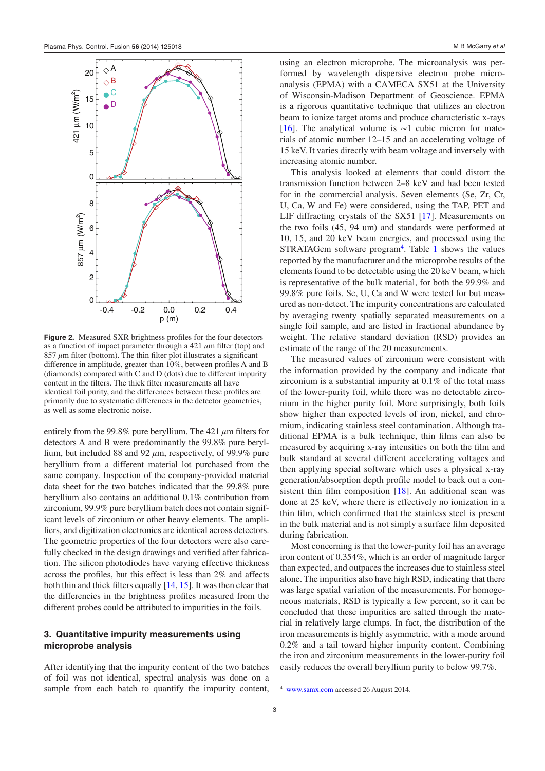<span id="page-3-1"></span>

**Figure 2.** Measured SXR brightness profiles for the four detectors as a function of impact parameter through a  $421 \mu m$  filter (top) and  $857 \mu m$  filter (bottom). The thin filter plot illustrates a significant difference in amplitude, greater than 10%, between profiles A and B (diamonds) compared with C and D (dots) due to different impurity content in the filters. The thick filter measurements all have identical foil purity, and the differences between these profiles are primarily due to systematic differences in the detector geometries, as well as some electronic noise.

entirely from the 99.8% pure beryllium. The 421 *µ*m filters for detectors A and B were predominantly the 99.8% pure beryllium, but included 88 and 92 *µ*m, respectively, of 99.9% pure beryllium from a different material lot purchased from the same company. Inspection of the company-provided material data sheet for the two batches indicated that the 99.8% pure beryllium also contains an additional 0.1% contribution from zirconium, 99.9% pure beryllium batch does not contain significant levels of zirconium or other heavy elements. The amplifiers, and digitization electronics are identical across detectors. The geometric properties of the four detectors were also carefully checked in the design drawings and verified after fabrication. The silicon photodiodes have varying effective thickness across the profiles, but this effect is less than 2% and affects both thin and thick filters equally [[14,](#page-6-8) [15\]](#page-6-9). It was then clear that the differencies in the brightness profiles measured from the different probes could be attributed to impurities in the foils.

## <span id="page-3-0"></span>**3. Quantitative impurity measurements using microprobe analysis**

After identifying that the impurity content of the two batches of foil was not identical, spectral analysis was done on a sample from each batch to quantify the impurity content, using an electron microprobe. The microanalysis was performed by wavelength dispersive electron probe microanalysis (EPMA) with a CAMECA SX51 at the University of Wisconsin-Madison Department of Geoscience. EPMA is a rigorous quantitative technique that utilizes an electron beam to ionize target atoms and produce characteristic x-rays [\[16](#page-6-10)]. The analytical volume is  $\sim$ 1 cubic micron for materials of atomic number 12–15 and an accelerating voltage of 15 keV. It varies directly with beam voltage and inversely with increasing atomic number.

This analysis looked at elements that could distort the transmission function between 2–8 keV and had been tested for in the commercial analysis. Seven elements (Se, Zr, Cr, U, Ca, W and Fe) were considered, using the TAP, PET and LIF diffracting crystals of the SX51 [[17\]](#page-6-11). Measurements on the two foils (45, 94 um) and standards were performed at 10, 15, and 20 keV beam energies, and processed using the STRATAGem software program<sup>[4](#page-3-2)</sup>. Table [1](#page-4-1) shows the values reported by the manufacturer and the microprobe results of the elements found to be detectable using the 20 keV beam, which is representative of the bulk material, for both the 99.9% and 99.8% pure foils. Se, U, Ca and W were tested for but measured as non-detect. The impurity concentrations are calculated by averaging twenty spatially separated measurements on a single foil sample, and are listed in fractional abundance by weight. The relative standard deviation (RSD) provides an estimate of the range of the 20 measurements.

The measured values of zirconium were consistent with the information provided by the company and indicate that zirconium is a substantial impurity at 0.1% of the total mass of the lower-purity foil, while there was no detectable zirconium in the higher purity foil. More surprisingly, both foils show higher than expected levels of iron, nickel, and chromium, indicating stainless steel contamination. Although traditional EPMA is a bulk technique, thin films can also be measured by acquiring x-ray intensities on both the film and bulk standard at several different accelerating voltages and then applying special software which uses a physical x-ray generation/absorption depth profile model to back out a consistent thin film composition [[18\]](#page-6-12). An additional scan was done at 25 keV, where there is effectively no ionization in a thin film, which confirmed that the stainless steel is present in the bulk material and is not simply a surface film deposited during fabrication.

Most concerning is that the lower-purity foil has an average iron content of 0.354%, which is an order of magnitude larger than expected, and outpaces the increases due to stainless steel alone. The impurities also have high RSD, indicating that there was large spatial variation of the measurements. For homogeneous materials, RSD is typically a few percent, so it can be concluded that these impurities are salted through the material in relatively large clumps. In fact, the distribution of the iron measurements is highly asymmetric, with a mode around 0.2% and a tail toward higher impurity content. Combining the iron and zirconium measurements in the lower-purity foil easily reduces the overall beryllium purity to below 99.7%.

<span id="page-3-2"></span>[www.samx.com](http://www.samx.com) accessed 26 August 2014.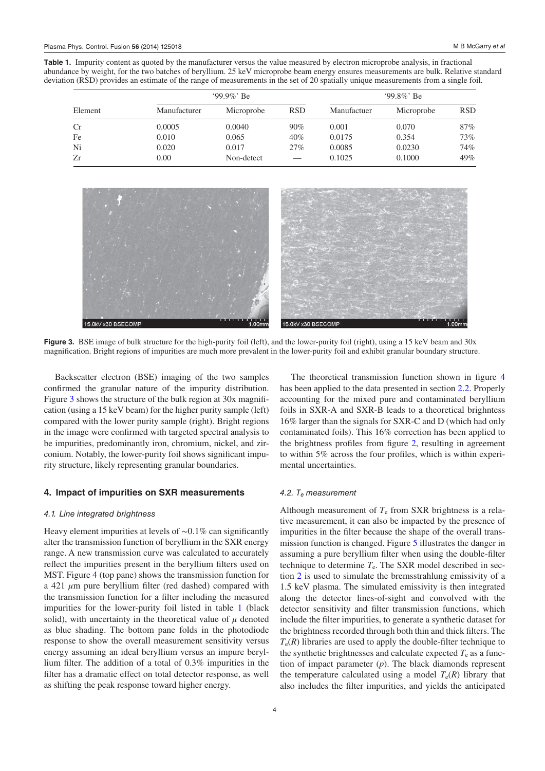**Table 1.** Impurity content as quoted by the manufacturer versus the value measured by electron microprobe analysis, in fractional abundance by weight, for the two batches of beryllium. 25 keV microprobe beam energy ensures measurements are bulk. Relative standard deviation (RSD) provides an estimate of the range of measurements in the set of 20 spatially unique measurements from a single foil.

<span id="page-4-1"></span>

| Element   | $99.9\%$ Be  |            |            | $99.8\%$ Be |            |            |
|-----------|--------------|------------|------------|-------------|------------|------------|
|           | Manufacturer | Microprobe | <b>RSD</b> | Manufactuer | Microprobe | <b>RSD</b> |
| <b>Cr</b> | 0.0005       | 0.0040     | 90%        | 0.001       | 0.070      | 87%        |
| Fe        | 0.010        | 0.065      | 40%        | 0.0175      | 0.354      | 73%        |
| Ni        | 0.020        | 0.017      | 27%        | 0.0085      | 0.0230     | 74%        |
| Zr        | 0.00         | Non-detect |            | 0.1025      | 0.1000     | 49%        |

<span id="page-4-2"></span>

**Figure 3.** BSE image of bulk structure for the high-purity foil (left), and the lower-purity foil (right), using a 15 keV beam and 30x magnification. Bright regions of impurities are much more prevalent in the lower-purity foil and exhibit granular boundary structure.

Backscatter electron (BSE) imaging of the two samples confirmed the granular nature of the impurity distribution. Figure [3](#page-4-2) shows the structure of the bulk region at 30x magnification (using a 15 keV beam) for the higher purity sample (left) compared with the lower purity sample (right). Bright regions in the image were confirmed with targeted spectral analysis to be impurities, predominantly iron, chromium, nickel, and zirconium. Notably, the lower-purity foil shows significant impurity structure, likely representing granular boundaries.

## <span id="page-4-0"></span>**4. Impact of impurities on SXR measurements**

## *4.1. Line integrated brightness*

Heavy element impurities at levels of ∼0.1% can significantly alter the transmission function of beryllium in the SXR energy range. A new transmission curve was calculated to accurately reflect the impurities present in the beryllium filters used on MST. Figure [4](#page-5-1) (top pane) shows the transmission function for a 421 *µ*m pure beryllium filter (red dashed) compared with the transmission function for a filter including the measured impurities for the lower-purity foil listed in table [1](#page-4-1) (black solid), with uncertainty in the theoretical value of *μ* denoted as blue shading. The bottom pane folds in the photodiode response to show the overall measurement sensitivity versus energy assuming an ideal beryllium versus an impure beryllium filter. The addition of a total of 0.3% impurities in the filter has a dramatic effect on total detector response, as well as shifting the peak response toward higher energy.

The theoretical transmission function shown in figure [4](#page-5-1) has been applied to the data presented in section [2.2.](#page-2-2) Properly accounting for the mixed pure and contaminated beryllium foils in SXR-A and SXR-B leads to a theoretical brighntess 16% larger than the signals for SXR-C and D (which had only contaminated foils). This 16% correction has been applied to the brightness profiles from figure [2,](#page-3-1) resulting in agreement to within 5% across the four profiles, which is within experimental uncertainties.

#### *4.2. Te measurement*

Although measurement of  $T<sub>e</sub>$  from SXR brightness is a relative measurement, it can also be impacted by the presence of impurities in the filter because the shape of the overall transmission function is changed. Figure [5](#page-5-2) illustrates the danger in assuming a pure beryllium filter when using the double-filter technique to determine  $T_e$ . The SXR model described in section [2](#page-1-0) is used to simulate the bremsstrahlung emissivity of a 1.5 keV plasma. The simulated emissivity is then integrated along the detector lines-of-sight and convolved with the detector sensitivity and filter transmission functions, which include the filter impurities, to generate a synthetic dataset for the brightness recorded through both thin and thick filters. The  $T_e(R)$  libraries are used to apply the double-filter technique to the synthetic brightnesses and calculate expected  $T<sub>e</sub>$  as a function of impact parameter (*p*). The black diamonds represent the temperature calculated using a model  $T_e(R)$  library that also includes the filter impurities, and yields the anticipated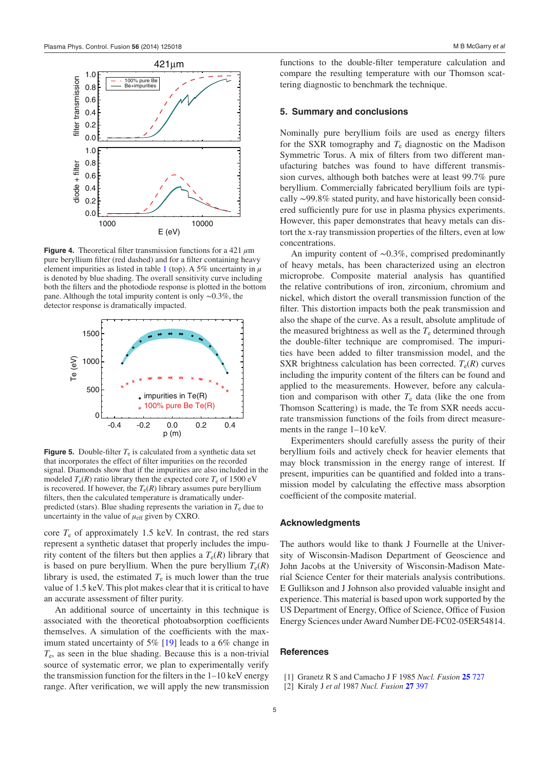<span id="page-5-1"></span>

**Figure 4.** Theoretical filter transmission functions for a 421  $\mu$ m pure beryllium filter (red dashed) and for a filter containing heavy element impurities as listed in table [1](#page-4-1) (top). A 5% uncertainty in *μ* is denoted by blue shading. The overall sensitivity curve including both the filters and the photodiode response is plotted in the bottom pane. Although the total impurity content is only ∼0.3%, the detector response is dramatically impacted.

<span id="page-5-2"></span>

**Figure 5.** Double-filter  $T_e$  is calculated from a synthetic data set that incorporates the effect of filter impurities on the recorded signal. Diamonds show that if the impurities are also included in the modeled  $T_e(R)$  ratio library then the expected core  $T_e$  of 1500 eV is recovered. If however, the  $T_e(R)$  library assumes pure beryllium filters, then the calculated temperature is dramatically underpredicted (stars). Blue shading represents the variation in  $T<sub>e</sub>$  due to uncertainty in the value of  $\mu_{\text{eff}}$  given by CXRO.

core  $T_e$  of approximately 1.5 keV. In contrast, the red stars represent a synthetic dataset that properly includes the impurity content of the filters but then applies a  $T_e(R)$  library that is based on pure beryllium. When the pure beryllium  $T_e(R)$ library is used, the estimated  $T_e$  is much lower than the true value of 1.5 keV. This plot makes clear that it is critical to have an accurate assessment of filter purity.

An additional source of uncertainty in this technique is associated with the theoretical photoabsorption coefficients themselves. A simulation of the coefficients with the maximum stated uncertainty of 5% [\[19](#page-6-13)] leads to a 6% change in *T*e, as seen in the blue shading. Because this is a non-trivial source of systematic error, we plan to experimentally verify the transmission function for the filters in the 1–10 keV energy range. After verification, we will apply the new transmission functions to the double-filter temperature calculation and compare the resulting temperature with our Thomson scattering diagnostic to benchmark the technique.

## **5. Summary and conclusions**

Nominally pure beryllium foils are used as energy filters for the SXR tomography and *T*e diagnostic on the Madison Symmetric Torus. A mix of filters from two different manufacturing batches was found to have different transmission curves, although both batches were at least 99.7% pure beryllium. Commercially fabricated beryllium foils are typically ∼99.8% stated purity, and have historically been considered sufficiently pure for use in plasma physics experiments. However, this paper demonstrates that heavy metals can distort the x-ray transmission properties of the filters, even at low concentrations.

An impurity content of ∼0.3%, comprised predominantly of heavy metals, has been characterized using an electron microprobe. Composite material analysis has quantified the relative contributions of iron, zirconium, chromium and nickel, which distort the overall transmission function of the filter. This distortion impacts both the peak transmission and also the shape of the curve. As a result, absolute amplitude of the measured brightness as well as the  $T_e$  determined through the double-filter technique are compromised. The impurities have been added to filter transmission model, and the SXR brightness calculation has been corrected.  $T_e(R)$  curves including the impurity content of the filters can be found and applied to the measurements. However, before any calculation and comparison with other  $T<sub>e</sub>$  data (like the one from Thomson Scattering) is made, the Te from SXR needs accurate transmission functions of the foils from direct measurements in the range 1–10 keV.

Experimenters should carefully assess the purity of their beryllium foils and actively check for heavier elements that may block transmission in the energy range of interest. If present, impurities can be quantified and folded into a transmission model by calculating the effective mass absorption coefficient of the composite material.

## **Acknowledgments**

The authors would like to thank J Fournelle at the University of Wisconsin-Madison Department of Geoscience and John Jacobs at the University of Wisconsin-Madison Material Science Center for their materials analysis contributions. E Gullikson and J Johnson also provided valuable insight and experience. This material is based upon work supported by the US Department of Energy, Office of Science, Office of Fusion Energy Sciences under Award Number DE-FC02-05ER54814.

### **References**

- <span id="page-5-0"></span>[1] Granetz R S and Camacho J F 1985 *Nucl. Fusion* **[25](http://dx.doi.org/10.1088/0029-5515/25/6/008)** [727](http://dx.doi.org/10.1088/0029-5515/25/6/008)
- [2] Kiraly J *et al* 1987 *Nucl. Fusion* **[27](http://dx.doi.org/10.1088/0029-5515/27/3/005)** [397](http://dx.doi.org/10.1088/0029-5515/27/3/005)